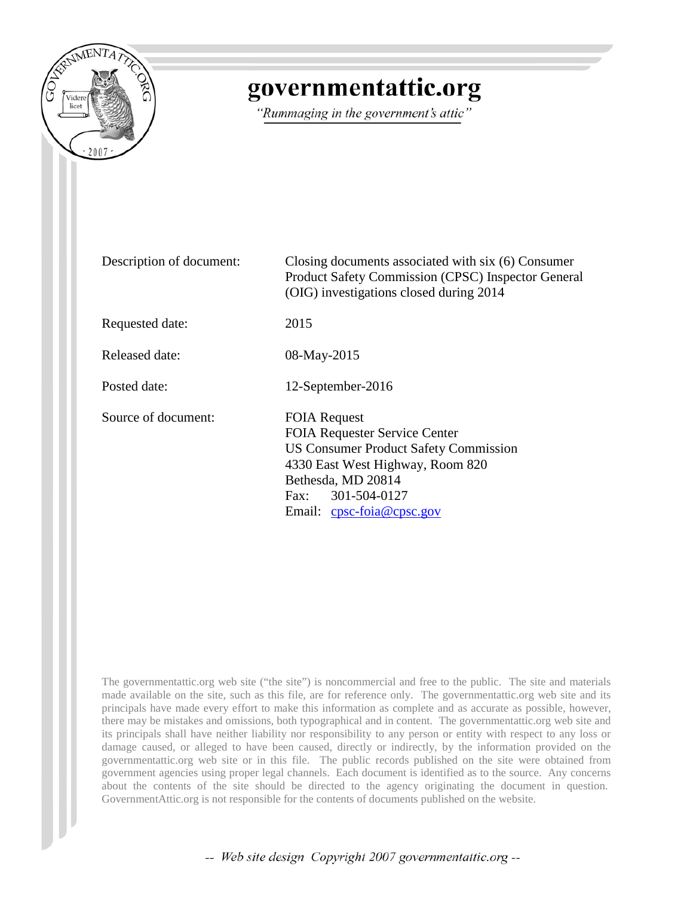

# governmentattic.org

"Rummaging in the government's attic"

Description of document: Closing documents associated with six (6) Consumer Product Safety Commission (CPSC) Inspector General (OIG) investigations closed during 2014 Requested date: 2015 Released date: 08-May-2015 Posted date: 12-September-2016 Source of document: FOIA Request FOIA Requester Service Center US Consumer Product Safety Commission 4330 East West Highway, Room 820 Bethesda, MD 20814 Fax: 301-504-0127 Email: [cpsc-foia@cpsc.gov](mailto:cpsc-foia@cpsc.gov?subject=FOIA%20Request)

The governmentattic.org web site ("the site") is noncommercial and free to the public. The site and materials made available on the site, such as this file, are for reference only. The governmentattic.org web site and its principals have made every effort to make this information as complete and as accurate as possible, however, there may be mistakes and omissions, both typographical and in content. The governmentattic.org web site and its principals shall have neither liability nor responsibility to any person or entity with respect to any loss or damage caused, or alleged to have been caused, directly or indirectly, by the information provided on the governmentattic.org web site or in this file. The public records published on the site were obtained from government agencies using proper legal channels. Each document is identified as to the source. Any concerns about the contents of the site should be directed to the agency originating the document in question. GovernmentAttic.org is not responsible for the contents of documents published on the website.

-- Web site design Copyright 2007 governmentattic.org --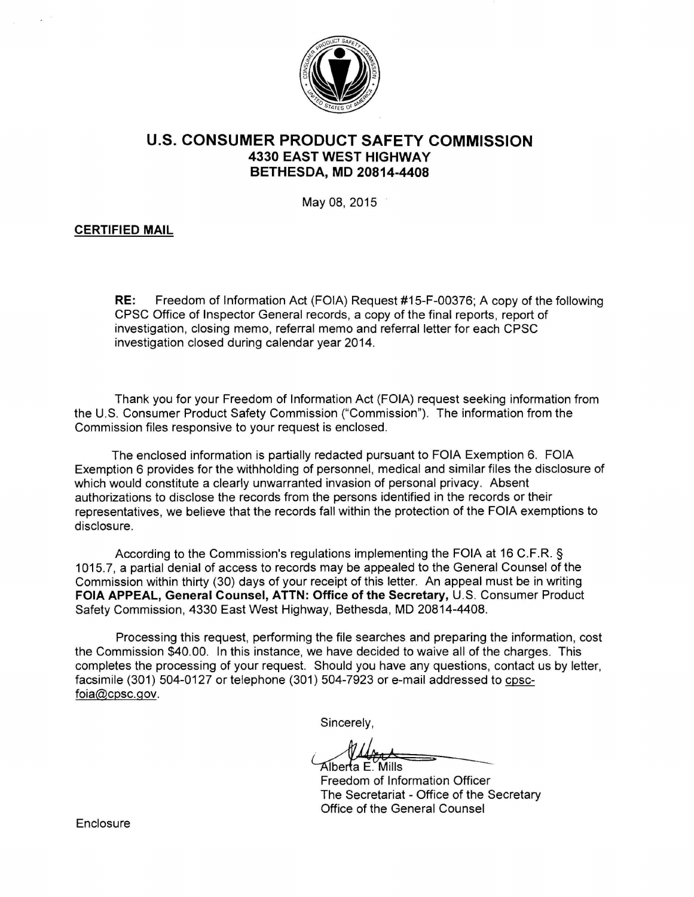

# **U.S. CONSUMER PRODUCT SAFETY COMMISSION 4330 EAST WEST HIGHWAY BETHESDA, MD 20814-4408**

May 08, 2015

# **CERTIFIED MAIL**

**RE:** Freedom of Information Act (FOIA) Request #15-F-00376; A copy of the following CPSC Office of Inspector General records, a copy of the final reports , report of investigation, closing memo, referral memo and referral letter for each CPSC investigation closed during calendar year 2014.

Thank you for your Freedom of Information Act (FOIA) request seeking information from the U.S. Consumer Product Safety Commission ("Commission"). The information from the Commission files responsive to your request is enclosed.

The enclosed information is partially redacted pursuant to FOIA Exemption 6. FOIA Exemption 6 provides for the withholding of personnel, medical and similar files the disclosure of which would constitute a clearly unwarranted invasion of personal privacy. Absent authorizations to disclose the records from the persons identified in the records or their representatives, we believe that the records fall within the protection of the FOIA exemptions to disclosure.

According to the Commission's regulations implementing the FOIA at 16 C.F.R. § 1015. 7, a partial denial of access to records may be appealed to the General Counsel of the Commission within thirty (30) days of your receipt of this letter. An appeal must be in writing **FOIA APPEAL, General Counsel, ATTN: Office of the Secretary,** U.S. Consumer Product Safety Commission, 4330 East West Highway, Bethesda, MD 20814-4408.

Processing this request, performing the file searches and preparing the information, cost the Commission \$40.00. In this instance, we have decided to waive all of the charges. This completes the processing of your request. Should you have any questions, contact us by letter, facsimile (301) 504-0127 or telephone (301) 504-7923 or e-mail addressed to cpscfoia@cpsc.gov.

Sincerely,

Alberta E. Mills

Freedom of Information Officer The Secretariat - Office of the Secretary Office of the General Counsel

**Enclosure**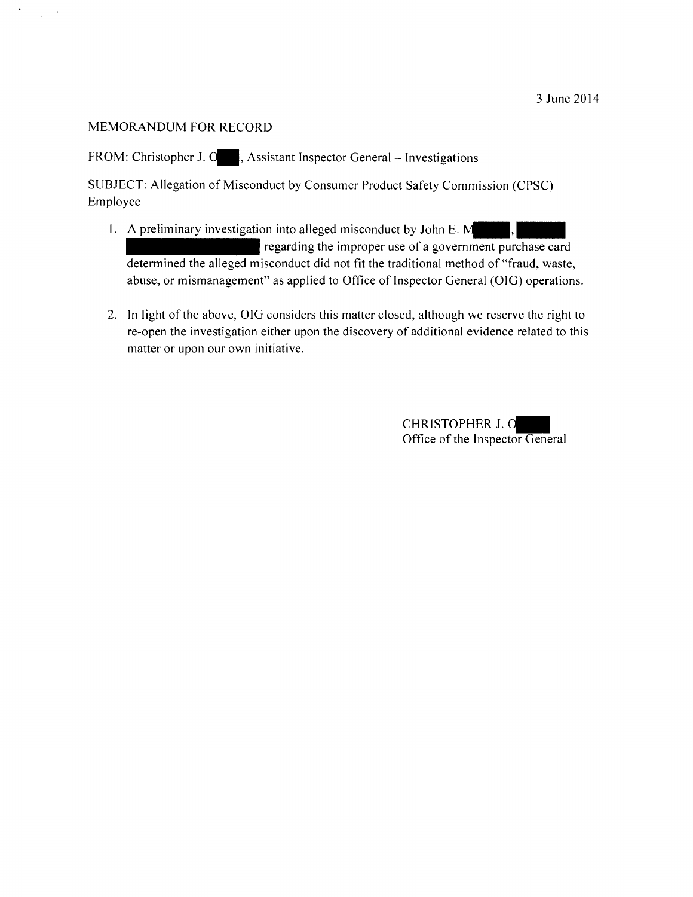$\sim$  $\mathcal{L}_{\rm{max}}$ 

FROM: Christopher J. O., Assistant Inspector General - Investigations

SUBJECT: Allegation of Misconduct by Consumer Product Safety Commission (CPSC) Employee

- 1. A preliminary investigation into alleged misconduct by John E.  $M$ regarding the improper use of a government purchase card determined the alleged misconduct did not fit the traditional method of "fraud, waste, abuse, or mismanagement" as applied to Office of Inspector General (OIG) operations.
- 2. In light of the above, OIG considers this matter closed, although we reserve the right to re-open the investigation either upon the discovery of additional evidence related to this matter or upon our own initiative.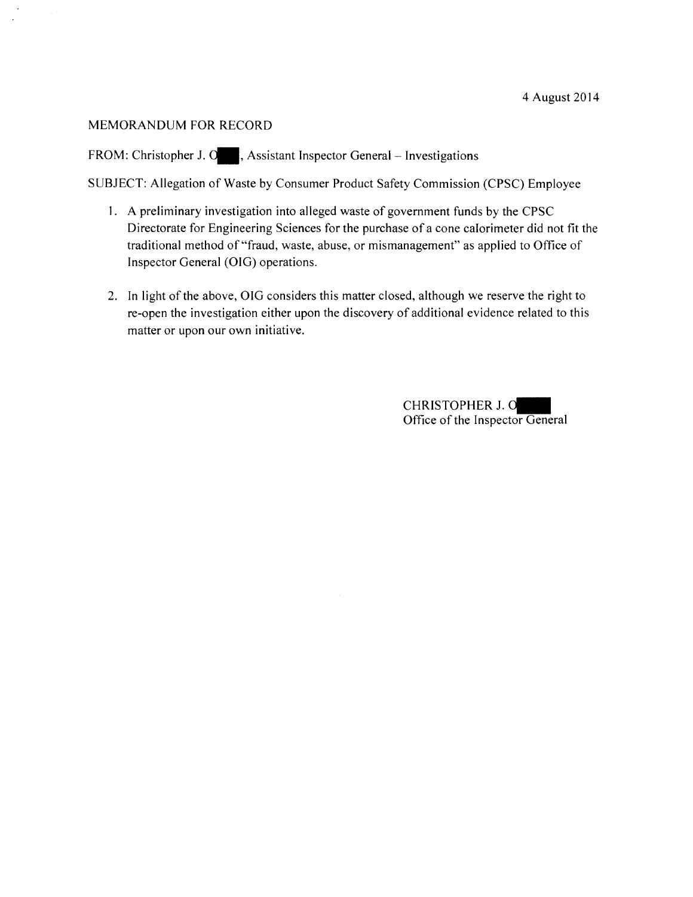FROM: Christopher J. O., Assistant Inspector General - Investigations

SUBJECT: Allegation of Waste by Consumer Product Safety Commission (CPSC) Employee

- I. A preliminary investigation into alleged waste of government funds by the CPSC Directorate for Engineering Sciences for the purchase of a cone calorimeter did not fit the traditional method of "fraud, waste, abuse, or mismanagement" as applied to Office of Inspector General (OIG) operations.
- 2. In light of the above, OIG considers this matter closed, although we reserve the right to re-open the investigation either upon the discovery of additional evidence related to this matter or upon our own initiative.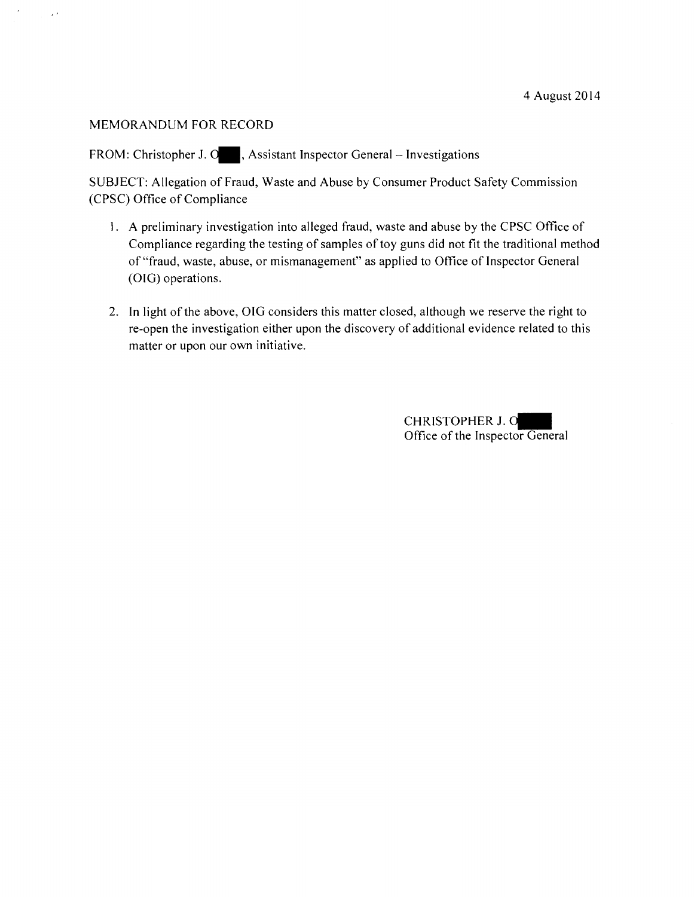$\sim$ 

FROM: Christopher J. O., Assistant Inspector General - Investigations

SUBJECT: Allegation of Fraud, Waste and Abuse by Consumer Product Safety Commission (CPSC) Office of Compliance

- I. A preliminary investigation into alleged fraud, waste and abuse by the CPSC Office of Compliance regarding the testing of samples of toy guns did not fit the traditional method of"fraud, waste, abuse, or mismanagement" as applied to Office of Inspector General (OIG) operations.
- 2. In light of the above, OIG considers this matter closed, although we reserve the right to re-open the investigation either upon the discovery of additional evidence related to this matter or upon our own initiative.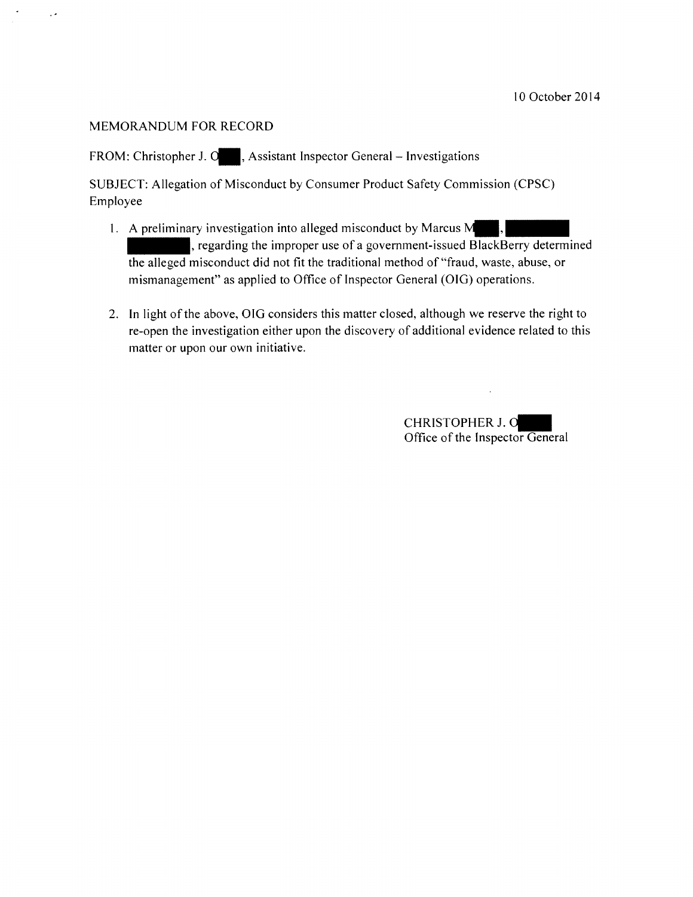$\sim$ 

FROM: Christopher J. O., Assistant Inspector General - Investigations

SUBJECT: Allegation of Misconduct by Consumer Product Safety Commission (CPSC) Employee

- 3JECT: Allegation of Misconduct by Consumer Product Safety Commission (CPSC)<br>bloyee<br>1. A preliminary investigation into alleged misconduct by Marcus M. ...<br>1. A preliminary investigation into alleged misconduct by Marcus M mismanagement" as applied to Office of Inspector General (OIG) operations.
- 2. In light of the above, OIG considers this matter closed, although we reserve the right to re-open the investigation either upon the discovery of additional evidence related to this matter or upon our own initiative.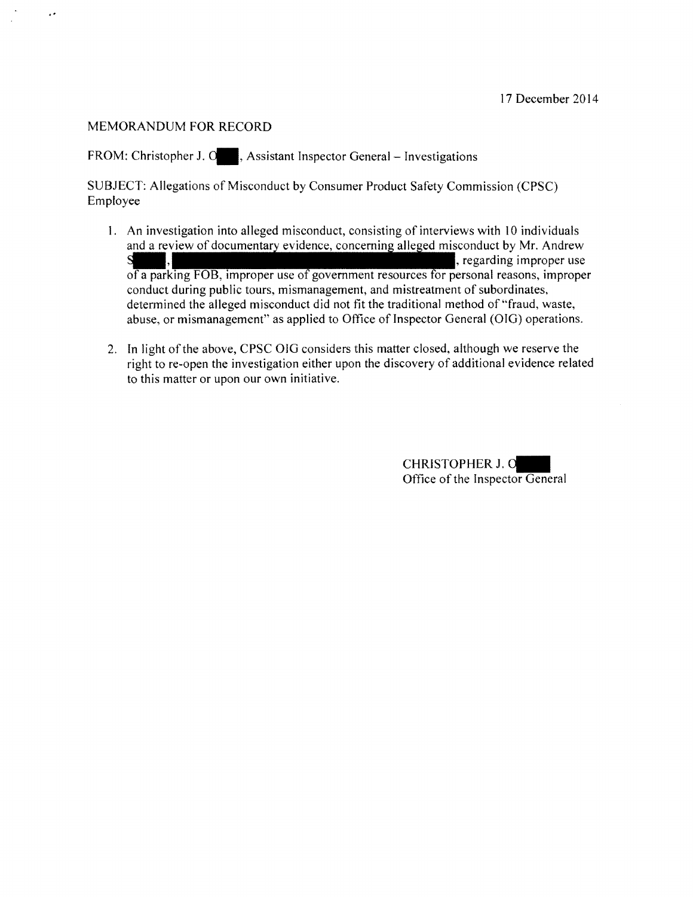..

FROM: Christopher J. O., Assistant Inspector General - Investigations

SUBJECT: Allegations of Misconduct by Consumer Product Safety Commission (CPSC) Employee

- 1. An investigation into alleged misconduct, consisting of interviews with 10 individuals and a review of documentary evidence, concerning alleged misconduct by Mr. Andrew  $\mathbf S$ ,  $\mathbf S$ ,  $\mathbf S$ ,  $\mathbf S$ ,  $\mathbf S$ ,  $\mathbf S$ ,  $\mathbf S$ ,  $\mathbf S$ ,  $\mathbf S$ ,  $\mathbf S$ ,  $\mathbf S$ ,  $\mathbf S$ ,  $\mathbf S$ ,  $\mathbf S$ ,  $\mathbf S$ ,  $\mathbf S$ ,  $\mathbf S$ ,  $\mathbf S$ ,  $\mathbf S$ ,  $\mathbf S$ ,  $\mathbf S$ ,  $\mathbf S$ ,  $\mathbf S$ ,  $\mathbf S$ ,  $\mathbf S$ ,  $\mathbf S$ ,  $\mathbf S$ ,  $\mathbf S$ of a parking FOB, improper use of government resources for personal reasons, improper conduct during public tours, mismanagement, and mistreatment of subordinates, determined the alleged misconduct did not fit the traditional method of "fraud, waste, abuse, or mismanagement" as applied to Office of Inspector General (OIG) operations.
- 2. In light of the above, CPSC OIG considers this matter closed, although we reserve the right to re-open the investigation either upon the discovery of additional evidence related to this matter or upon our own initiative.